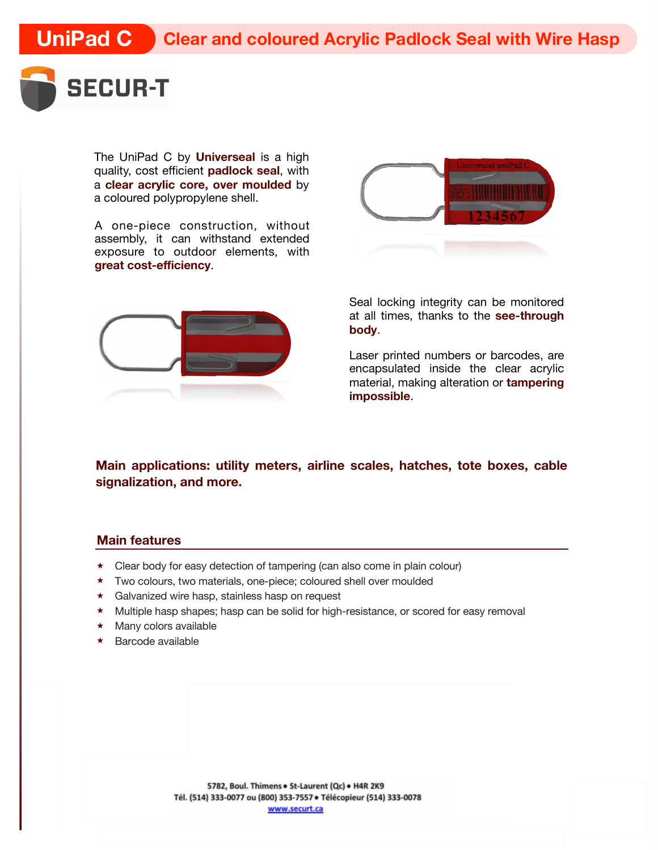

The UniPad C by **Universeal** is a high quality, cost efficient **padlock seal**, with a **clear acrylic core, over moulded** by a coloured polypropylene shell.

A one-piece construction, without assembly, it can withstand extended exposure to outdoor elements, with **great cost-efficiency**.



Seal locking integrity can be monitored at all times, thanks to the **see-through body**.

Laser printed numbers or barcodes, are encapsulated inside the clear acrylic material, making alteration or **tampering impossible**.

**Main applications: utility meters, airline scales, hatches, tote boxes, cable signalization, and more.**

## **Main features**

- ★ Clear body for easy detection of tampering (can also come in plain colour)
- ★ Two colours, two materials, one-piece; coloured shell over moulded
- ★ Galvanized wire hasp, stainless hasp on request
- ★ Multiple hasp shapes; hasp can be solid for high-resistance, or scored for easy removal
- ★ Many colors available
- ★ Barcode available

5782, Boul. Thimens . St-Laurent (Qc) . H4R 2K9 Tél. (514) 333-0077 ou (800) 353-7557 · Télécopieur (514) 333-0078 www.securt.ca